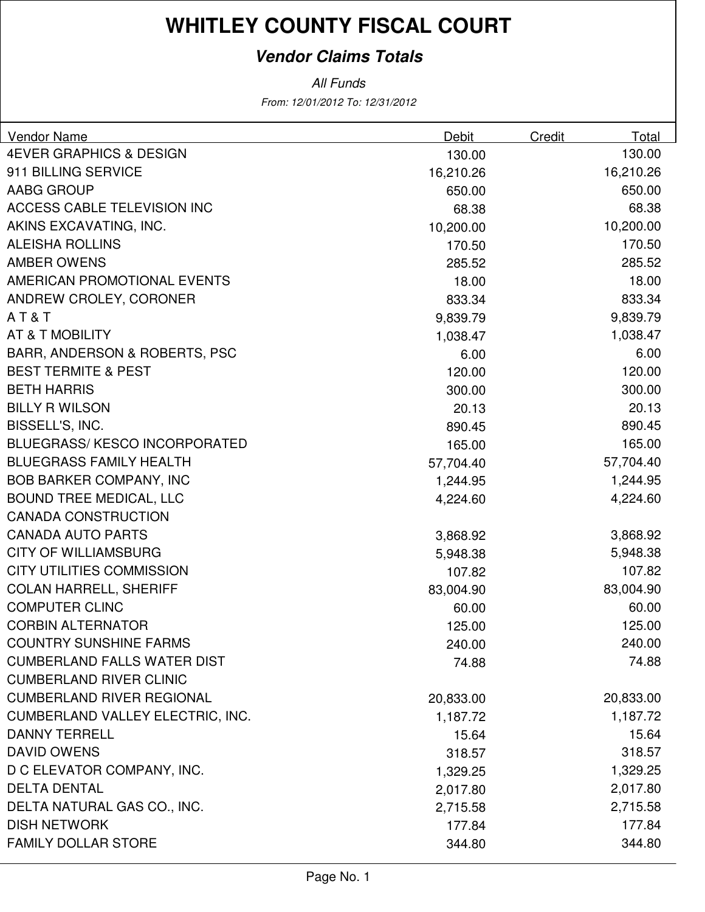### **Vendor Claims Totals**

| Vendor Name                              | <b>Debit</b> | Credit | Total     |
|------------------------------------------|--------------|--------|-----------|
| <b>4EVER GRAPHICS &amp; DESIGN</b>       | 130.00       |        | 130.00    |
| 911 BILLING SERVICE                      | 16,210.26    |        | 16,210.26 |
| <b>AABG GROUP</b>                        | 650.00       |        | 650.00    |
| <b>ACCESS CABLE TELEVISION INC</b>       | 68.38        |        | 68.38     |
| AKINS EXCAVATING, INC.                   | 10,200.00    |        | 10,200.00 |
| <b>ALEISHA ROLLINS</b>                   | 170.50       |        | 170.50    |
| <b>AMBER OWENS</b>                       | 285.52       |        | 285.52    |
| AMERICAN PROMOTIONAL EVENTS              | 18.00        |        | 18.00     |
| ANDREW CROLEY, CORONER                   | 833.34       |        | 833.34    |
| AT&T                                     | 9,839.79     |        | 9,839.79  |
| <b>AT &amp; T MOBILITY</b>               | 1,038.47     |        | 1,038.47  |
| <b>BARR, ANDERSON &amp; ROBERTS, PSC</b> | 6.00         |        | 6.00      |
| <b>BEST TERMITE &amp; PEST</b>           | 120.00       |        | 120.00    |
| <b>BETH HARRIS</b>                       | 300.00       |        | 300.00    |
| <b>BILLY R WILSON</b>                    | 20.13        |        | 20.13     |
| BISSELL'S, INC.                          | 890.45       |        | 890.45    |
| <b>BLUEGRASS/KESCO INCORPORATED</b>      | 165.00       |        | 165.00    |
| <b>BLUEGRASS FAMILY HEALTH</b>           | 57,704.40    |        | 57,704.40 |
| <b>BOB BARKER COMPANY, INC</b>           | 1,244.95     |        | 1,244.95  |
| <b>BOUND TREE MEDICAL, LLC</b>           | 4,224.60     |        | 4,224.60  |
| <b>CANADA CONSTRUCTION</b>               |              |        |           |
| <b>CANADA AUTO PARTS</b>                 | 3,868.92     |        | 3,868.92  |
| <b>CITY OF WILLIAMSBURG</b>              | 5,948.38     |        | 5,948.38  |
| <b>CITY UTILITIES COMMISSION</b>         | 107.82       |        | 107.82    |
| <b>COLAN HARRELL, SHERIFF</b>            | 83,004.90    |        | 83,004.90 |
| <b>COMPUTER CLINC</b>                    | 60.00        |        | 60.00     |
| <b>CORBIN ALTERNATOR</b>                 | 125.00       |        | 125.00    |
| <b>COUNTRY SUNSHINE FARMS</b>            | 240.00       |        | 240.00    |
| <b>CUMBERLAND FALLS WATER DIST</b>       | 74.88        |        | 74.88     |
| <b>CUMBERLAND RIVER CLINIC</b>           |              |        |           |
| <b>CUMBERLAND RIVER REGIONAL</b>         | 20,833.00    |        | 20,833.00 |
| CUMBERLAND VALLEY ELECTRIC, INC.         | 1,187.72     |        | 1,187.72  |
| <b>DANNY TERRELL</b>                     | 15.64        |        | 15.64     |
| <b>DAVID OWENS</b>                       | 318.57       |        | 318.57    |
| D C ELEVATOR COMPANY, INC.               | 1,329.25     |        | 1,329.25  |
| <b>DELTA DENTAL</b>                      | 2,017.80     |        | 2,017.80  |
| DELTA NATURAL GAS CO., INC.              | 2,715.58     |        | 2,715.58  |
| <b>DISH NETWORK</b>                      | 177.84       |        | 177.84    |
| <b>FAMILY DOLLAR STORE</b>               | 344.80       |        | 344.80    |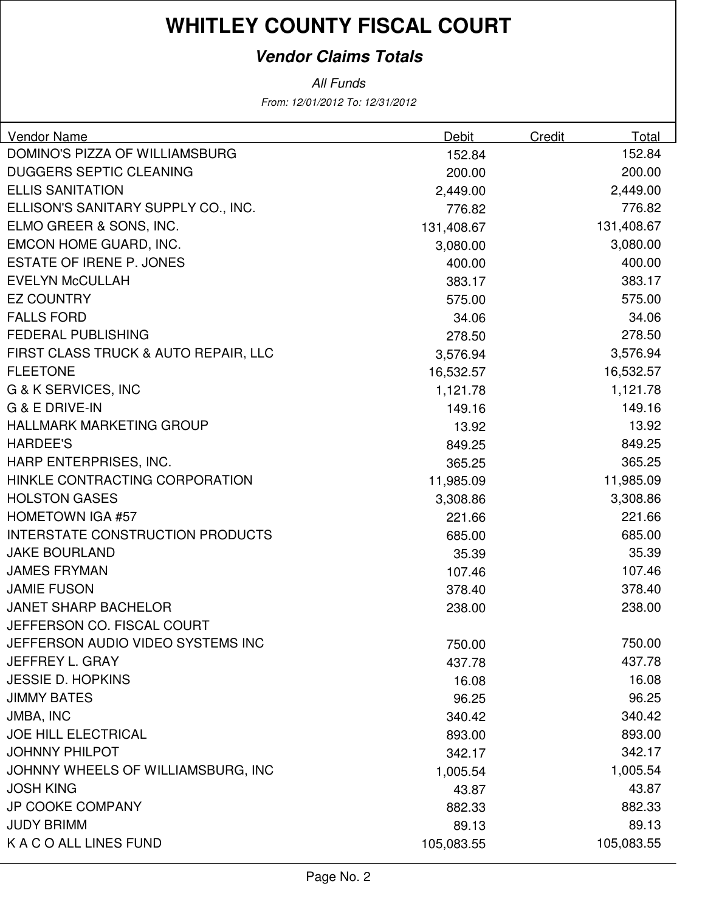### **Vendor Claims Totals**

| <b>Vendor Name</b>                      | <b>Debit</b> | <b>Credit</b> | Total      |
|-----------------------------------------|--------------|---------------|------------|
| DOMINO'S PIZZA OF WILLIAMSBURG          | 152.84       |               | 152.84     |
| <b>DUGGERS SEPTIC CLEANING</b>          | 200.00       |               | 200.00     |
| <b>ELLIS SANITATION</b>                 | 2,449.00     |               | 2,449.00   |
| ELLISON'S SANITARY SUPPLY CO., INC.     | 776.82       |               | 776.82     |
| ELMO GREER & SONS, INC.                 | 131,408.67   |               | 131,408.67 |
| EMCON HOME GUARD, INC.                  | 3,080.00     |               | 3,080.00   |
| <b>ESTATE OF IRENE P. JONES</b>         | 400.00       |               | 400.00     |
| <b>EVELYN McCULLAH</b>                  | 383.17       |               | 383.17     |
| <b>EZ COUNTRY</b>                       | 575.00       |               | 575.00     |
| <b>FALLS FORD</b>                       | 34.06        |               | 34.06      |
| <b>FEDERAL PUBLISHING</b>               | 278.50       |               | 278.50     |
| FIRST CLASS TRUCK & AUTO REPAIR, LLC    | 3,576.94     |               | 3,576.94   |
| <b>FLEETONE</b>                         | 16,532.57    |               | 16,532.57  |
| G & K SERVICES, INC                     | 1,121.78     |               | 1,121.78   |
| G & E DRIVE-IN                          | 149.16       |               | 149.16     |
| <b>HALLMARK MARKETING GROUP</b>         | 13.92        |               | 13.92      |
| <b>HARDEE'S</b>                         | 849.25       |               | 849.25     |
| HARP ENTERPRISES, INC.                  | 365.25       |               | 365.25     |
| HINKLE CONTRACTING CORPORATION          | 11,985.09    |               | 11,985.09  |
| <b>HOLSTON GASES</b>                    | 3,308.86     |               | 3,308.86   |
| <b>HOMETOWN IGA #57</b>                 | 221.66       |               | 221.66     |
| <b>INTERSTATE CONSTRUCTION PRODUCTS</b> | 685.00       |               | 685.00     |
| <b>JAKE BOURLAND</b>                    | 35.39        |               | 35.39      |
| <b>JAMES FRYMAN</b>                     | 107.46       |               | 107.46     |
| <b>JAMIE FUSON</b>                      | 378.40       |               | 378.40     |
| <b>JANET SHARP BACHELOR</b>             | 238.00       |               | 238.00     |
| JEFFERSON CO. FISCAL COURT              |              |               |            |
| JEFFERSON AUDIO VIDEO SYSTEMS INC       | 750.00       |               | 750.00     |
| JEFFREY L. GRAY                         | 437.78       |               | 437.78     |
| <b>JESSIE D. HOPKINS</b>                | 16.08        |               | 16.08      |
| <b>JIMMY BATES</b>                      | 96.25        |               | 96.25      |
| <b>JMBA, INC</b>                        | 340.42       |               | 340.42     |
| <b>JOE HILL ELECTRICAL</b>              | 893.00       |               | 893.00     |
| <b>JOHNNY PHILPOT</b>                   | 342.17       |               | 342.17     |
| JOHNNY WHEELS OF WILLIAMSBURG, INC      | 1,005.54     |               | 1,005.54   |
| <b>JOSH KING</b>                        | 43.87        |               | 43.87      |
| <b>JP COOKE COMPANY</b>                 | 882.33       |               | 882.33     |
| <b>JUDY BRIMM</b>                       | 89.13        |               | 89.13      |
| K A C O ALL LINES FUND                  | 105,083.55   |               | 105,083.55 |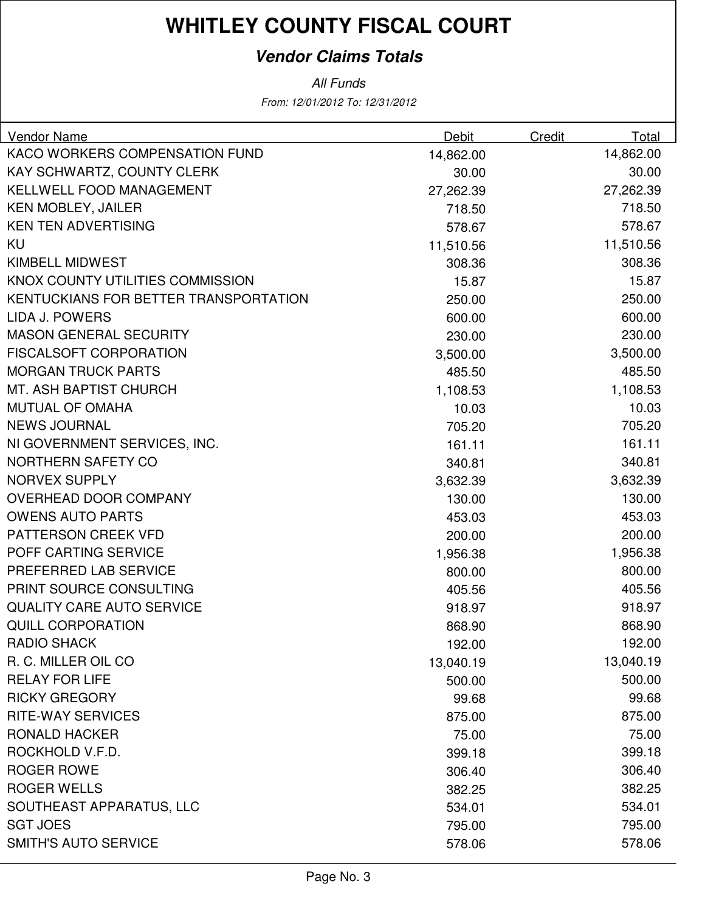### **Vendor Claims Totals**

| Vendor Name                           | Debit     | Credit | Total     |
|---------------------------------------|-----------|--------|-----------|
| KACO WORKERS COMPENSATION FUND        | 14,862.00 |        | 14,862.00 |
| KAY SCHWARTZ, COUNTY CLERK            | 30.00     |        | 30.00     |
| <b>KELLWELL FOOD MANAGEMENT</b>       | 27,262.39 |        | 27,262.39 |
| <b>KEN MOBLEY, JAILER</b>             | 718.50    |        | 718.50    |
| <b>KEN TEN ADVERTISING</b>            | 578.67    |        | 578.67    |
| KU                                    | 11,510.56 |        | 11,510.56 |
| <b>KIMBELL MIDWEST</b>                | 308.36    |        | 308.36    |
| KNOX COUNTY UTILITIES COMMISSION      | 15.87     |        | 15.87     |
| KENTUCKIANS FOR BETTER TRANSPORTATION | 250.00    |        | 250.00    |
| LIDA J. POWERS                        | 600.00    |        | 600.00    |
| <b>MASON GENERAL SECURITY</b>         | 230.00    |        | 230.00    |
| <b>FISCALSOFT CORPORATION</b>         | 3,500.00  |        | 3,500.00  |
| <b>MORGAN TRUCK PARTS</b>             | 485.50    |        | 485.50    |
| MT. ASH BAPTIST CHURCH                | 1,108.53  |        | 1,108.53  |
| MUTUAL OF OMAHA                       | 10.03     |        | 10.03     |
| <b>NEWS JOURNAL</b>                   | 705.20    |        | 705.20    |
| NI GOVERNMENT SERVICES, INC.          | 161.11    |        | 161.11    |
| <b>NORTHERN SAFETY CO</b>             | 340.81    |        | 340.81    |
| <b>NORVEX SUPPLY</b>                  | 3,632.39  |        | 3,632.39  |
| OVERHEAD DOOR COMPANY                 | 130.00    |        | 130.00    |
| <b>OWENS AUTO PARTS</b>               | 453.03    |        | 453.03    |
| PATTERSON CREEK VFD                   | 200.00    |        | 200.00    |
| POFF CARTING SERVICE                  | 1,956.38  |        | 1,956.38  |
| PREFERRED LAB SERVICE                 | 800.00    |        | 800.00    |
| PRINT SOURCE CONSULTING               | 405.56    |        | 405.56    |
| <b>QUALITY CARE AUTO SERVICE</b>      | 918.97    |        | 918.97    |
| <b>QUILL CORPORATION</b>              | 868.90    |        | 868.90    |
| <b>RADIO SHACK</b>                    | 192.00    |        | 192.00    |
| R. C. MILLER OIL CO                   | 13,040.19 |        | 13,040.19 |
| <b>RELAY FOR LIFE</b>                 | 500.00    |        | 500.00    |
| <b>RICKY GREGORY</b>                  | 99.68     |        | 99.68     |
| <b>RITE-WAY SERVICES</b>              | 875.00    |        | 875.00    |
| <b>RONALD HACKER</b>                  | 75.00     |        | 75.00     |
| ROCKHOLD V.F.D.                       | 399.18    |        | 399.18    |
| <b>ROGER ROWE</b>                     | 306.40    |        | 306.40    |
| <b>ROGER WELLS</b>                    | 382.25    |        | 382.25    |
| SOUTHEAST APPARATUS, LLC              | 534.01    |        | 534.01    |
| <b>SGT JOES</b>                       | 795.00    |        | 795.00    |
| <b>SMITH'S AUTO SERVICE</b>           | 578.06    |        | 578.06    |